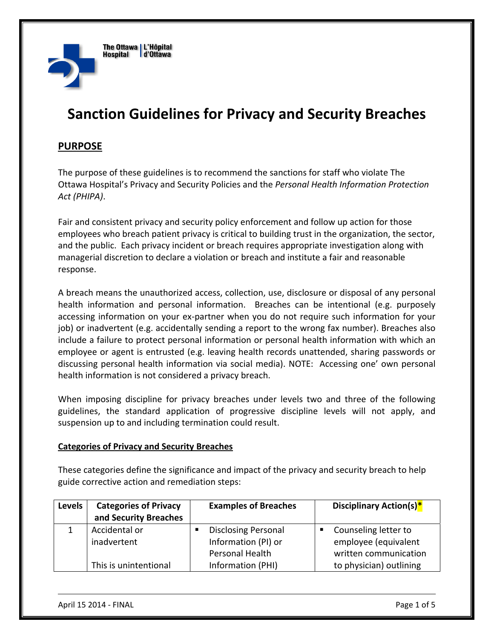

# **Sanction Guidelines for Privacy and Security Breaches**

## **PURPOSE**

The purpose of these guidelines is to recommend the sanctions for staff who violate The Ottawa Hospital's Privacy and Security Policies and the *Personal Health Information Protection Act (PHIPA)*.

Fair and consistent privacy and security policy enforcement and follow up action for those employees who breach patient privacy is critical to building trust in the organization, the sector, and the public. Each privacy incident or breach requires appropriate investigation along with managerial discretion to declare a violation or breach and institute a fair and reasonable response.

A breach means the unauthorized access, collection, use, disclosure or disposal of any personal health information and personal information. Breaches can be intentional (e.g. purposely accessing information on your ex‐partner when you do not require such information for your job) or inadvertent (e.g. accidentally sending a report to the wrong fax number). Breaches also include a failure to protect personal information or personal health information with which an employee or agent is entrusted (e.g. leaving health records unattended, sharing passwords or discussing personal health information via social media). NOTE: Accessing one' own personal health information is not considered a privacy breach.

When imposing discipline for privacy breaches under levels two and three of the following guidelines, the standard application of progressive discipline levels will not apply, and suspension up to and including termination could result.

#### **Categories of Privacy and Security Breaches**

These categories define the significance and impact of the privacy and security breach to help guide corrective action and remediation steps:

| <b>Levels</b> | <b>Categories of Privacy</b> | <b>Examples of Breaches</b> | <b>Disciplinary Action(s)*</b> |
|---------------|------------------------------|-----------------------------|--------------------------------|
|               | and Security Breaches        |                             |                                |
|               | Accidental or                | <b>Disclosing Personal</b>  | Counseling letter to           |
|               | inadvertent                  | Information (PI) or         | employee (equivalent           |
|               |                              | <b>Personal Health</b>      | written communication          |
|               | This is unintentional        | Information (PHI)           | to physician) outlining        |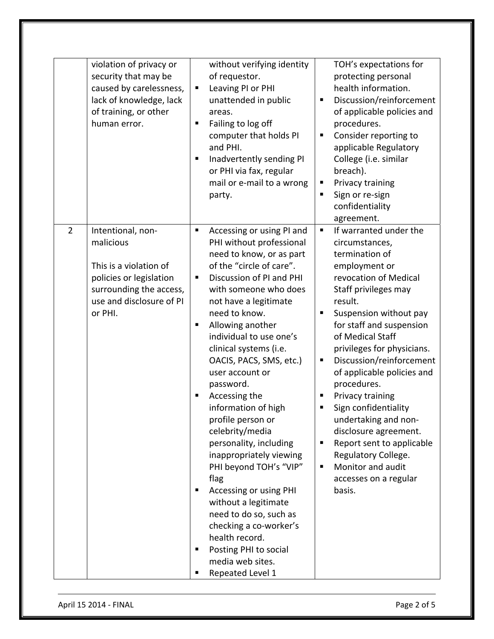| violation of privacy or<br>security that may be<br>caused by carelessness,<br>lack of knowledge, lack<br>of training, or other<br>human error.                          | without verifying identity<br>of requestor.<br>Leaving PI or PHI<br>Ξ<br>unattended in public<br>areas.<br>Failing to log off<br>Е<br>computer that holds PI<br>and PHI.<br>Inadvertently sending PI<br>п<br>or PHI via fax, regular<br>mail or e-mail to a wrong<br>party.                                                                                                                                                                                                                                                                                                                                                                                                                                                                    | TOH's expectations for<br>protecting personal<br>health information.<br>Discussion/reinforcement<br>٠<br>of applicable policies and<br>procedures.<br>Consider reporting to<br>П<br>applicable Regulatory<br>College (i.e. similar<br>breach).<br>Privacy training<br>п<br>Sign or re-sign<br>П<br>confidentiality<br>agreement.                                                                                                                                                                                                                                     |
|-------------------------------------------------------------------------------------------------------------------------------------------------------------------------|------------------------------------------------------------------------------------------------------------------------------------------------------------------------------------------------------------------------------------------------------------------------------------------------------------------------------------------------------------------------------------------------------------------------------------------------------------------------------------------------------------------------------------------------------------------------------------------------------------------------------------------------------------------------------------------------------------------------------------------------|----------------------------------------------------------------------------------------------------------------------------------------------------------------------------------------------------------------------------------------------------------------------------------------------------------------------------------------------------------------------------------------------------------------------------------------------------------------------------------------------------------------------------------------------------------------------|
| $\overline{2}$<br>Intentional, non-<br>malicious<br>This is a violation of<br>policies or legislation<br>surrounding the access,<br>use and disclosure of PI<br>or PHI. | Accessing or using PI and<br>Ξ<br>PHI without professional<br>need to know, or as part<br>of the "circle of care".<br>Discussion of PI and PHI<br>Ξ<br>with someone who does<br>not have a legitimate<br>need to know.<br>Allowing another<br>п<br>individual to use one's<br>clinical systems (i.e.<br>OACIS, PACS, SMS, etc.)<br>user account or<br>password.<br>Accessing the<br>Е<br>information of high<br>profile person or<br>celebrity/media<br>personality, including<br>inappropriately viewing<br>PHI beyond TOH's "VIP"<br>flag<br>Accessing or using PHI<br>Е<br>without a legitimate<br>need to do so, such as<br>checking a co-worker's<br>health record.<br>Posting PHI to social<br>Е<br>media web sites.<br>Repeated Level 1 | If warranted under the<br>П<br>circumstances,<br>termination of<br>employment or<br>revocation of Medical<br>Staff privileges may<br>result.<br>Suspension without pay<br>٠<br>for staff and suspension<br>of Medical Staff<br>privileges for physicians.<br>Discussion/reinforcement<br>Е<br>of applicable policies and<br>procedures.<br>Privacy training<br>٠<br>Sign confidentiality<br>п<br>undertaking and non-<br>disclosure agreement.<br>Report sent to applicable<br>п<br>Regulatory College.<br>Monitor and audit<br>٠<br>accesses on a regular<br>basis. |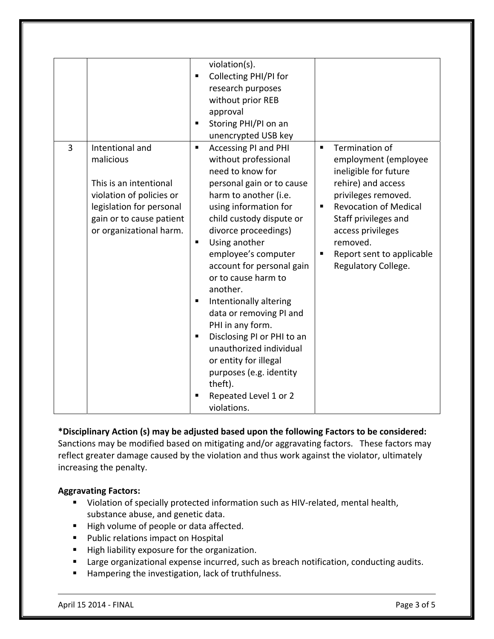| 3 | Intentional and<br>malicious<br>This is an intentional<br>violation of policies or<br>legislation for personal<br>gain or to cause patient<br>or organizational harm. | violation(s).<br>Collecting PHI/PI for<br>$\blacksquare$<br>research purposes<br>without prior REB<br>approval<br>Storing PHI/PI on an<br>п<br>unencrypted USB key<br>Accessing PI and PHI<br>п<br>without professional<br>need to know for<br>personal gain or to cause<br>harm to another (i.e.<br>using information for<br>child custody dispute or<br>divorce proceedings)<br>Using another<br>п<br>employee's computer<br>account for personal gain<br>or to cause harm to<br>another.<br>Intentionally altering<br>п<br>data or removing PI and<br>PHI in any form.<br>Disclosing PI or PHI to an<br>п<br>unauthorized individual | Termination of<br>$\blacksquare$<br>employment (employee<br>ineligible for future<br>rehire) and access<br>privileges removed.<br><b>Revocation of Medical</b><br>٠<br>Staff privileges and<br>access privileges<br>removed.<br>Report sent to applicable<br>$\blacksquare$<br>Regulatory College. |
|---|-----------------------------------------------------------------------------------------------------------------------------------------------------------------------|-----------------------------------------------------------------------------------------------------------------------------------------------------------------------------------------------------------------------------------------------------------------------------------------------------------------------------------------------------------------------------------------------------------------------------------------------------------------------------------------------------------------------------------------------------------------------------------------------------------------------------------------|----------------------------------------------------------------------------------------------------------------------------------------------------------------------------------------------------------------------------------------------------------------------------------------------------|
|   |                                                                                                                                                                       | or entity for illegal<br>purposes (e.g. identity<br>theft).<br>Repeated Level 1 or 2<br>violations.                                                                                                                                                                                                                                                                                                                                                                                                                                                                                                                                     |                                                                                                                                                                                                                                                                                                    |

## **\*Disciplinary Action (s) may be adjusted based upon the following Factors to be considered:**  Sanctions may be modified based on mitigating and/or aggravating factors. These factors may reflect greater damage caused by the violation and thus work against the violator, ultimately increasing the penalty.

## **Aggravating Factors:**

- Violation of specially protected information such as HIV-related, mental health, substance abuse, and genetic data.
- High volume of people or data affected.
- **Public relations impact on Hospital**
- High liability exposure for the organization.
- **E** Large organizational expense incurred, such as breach notification, conducting audits.
- **Hampering the investigation, lack of truthfulness.**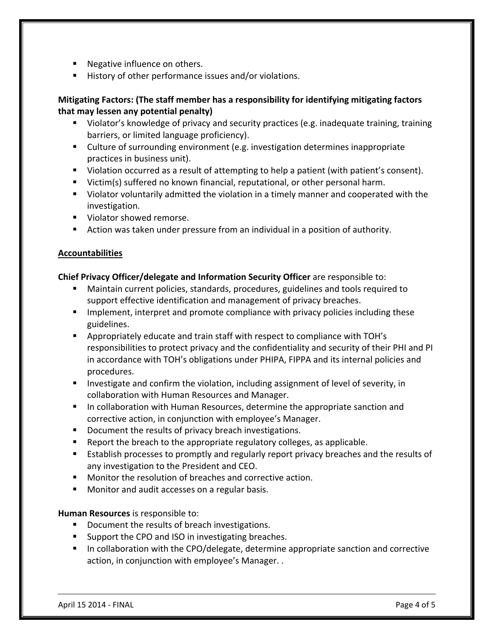- Negative influence on others.
- History of other performance issues and/or violations.

## **Mitigating Factors: (The staff member has a responsibility for identifying mitigating factors that may lessen any potential penalty)**

- Violator's knowledge of privacy and security practices (e.g. inadequate training, training barriers, or limited language proficiency).
- Culture of surrounding environment (e.g. investigation determines inappropriate practices in business unit).
- Violation occurred as a result of attempting to help a patient (with patient's consent).
- Victim(s) suffered no known financial, reputational, or other personal harm.
- Violator voluntarily admitted the violation in a timely manner and cooperated with the investigation.
- **Violator showed remorse.**
- Action was taken under pressure from an individual in a position of authority.

### **Accountabilities**

### **Chief Privacy Officer/delegate and Information Security Officer** are responsible to:

- Maintain current policies, standards, procedures, guidelines and tools required to support effective identification and management of privacy breaches.
- **IMPLEMENT** Implement, interpret and promote compliance with privacy policies including these guidelines.
- Appropriately educate and train staff with respect to compliance with TOH's responsibilities to protect privacy and the confidentiality and security of their PHI and PI in accordance with TOH's obligations under PHIPA, FIPPA and its internal policies and procedures.
- **Investigate and confirm the violation, including assignment of level of severity, in** collaboration with Human Resources and Manager.
- **IF** In collaboration with Human Resources, determine the appropriate sanction and corrective action, in conjunction with employee's Manager.
- Document the results of privacy breach investigations.
- Report the breach to the appropriate regulatory colleges, as applicable.
- **Establish processes to promptly and regularly report privacy breaches and the results of** any investigation to the President and CEO.
- Monitor the resolution of breaches and corrective action.
- Monitor and audit accesses on a regular basis.

### **Human Resources** is responsible to:

- Document the results of breach investigations.
- Support the CPO and ISO in investigating breaches.
- In collaboration with the CPO/delegate, determine appropriate sanction and corrective action, in conjunction with employee's Manager. .